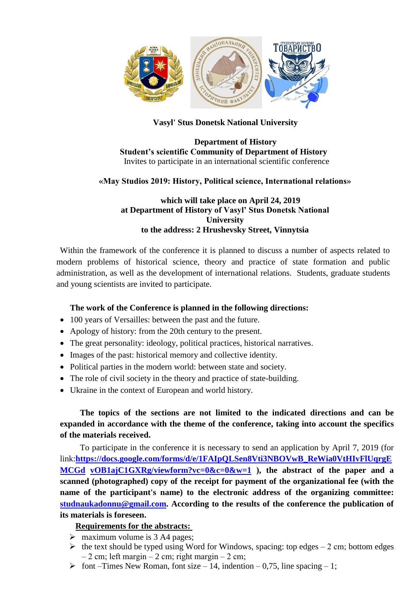

## **Vasyl' Stus Donetsk National University**

#### **Department of History Student's scientific Community of Department of History** Invites to participate in an international scientific conference

## **«May Studios 2019: History, Political science, International relations»**

## **which will take place on April 24, 2019 at Department of History of Vasyl' Stus Donetsk National University to the address: 2 Hrushevsky Street, Vinnytsia**

Within the framework of the conference it is planned to discuss a number of aspects related to modern problems of historical science, theory and practice of state formation and public administration, as well as the development of international relations. Students, graduate students and young scientists are invited to participate.

### **The work of the Conference is planned in the following directions:**

- 100 years of Versailles: between the past and the future.
- Apology of history: from the 20th century to the present.
- The great personality: ideology, political practices, historical narratives.
- Images of the past: historical memory and collective identity.
- Political parties in the modern world: between state and society.
- The role of civil society in the theory and practice of state-building.
- Ukraine in the context of European and world history.

**The topics of the sections are not limited to the indicated directions and can be expanded in accordance with the theme of the conference, taking into account the specifics of the materials received.**

To participate in the conference it is necessary to send an application by April 7, 2019 (for link:**[https://docs.google.com/forms/d/e/1FAIpQLSen8Vti3NBOVwB\\_ReWia0VtHIvFlUqrgE](https://docs.google.com/forms/d/e/1FAIpQLSen8Vti3NBOVwB_ReWia0VtHIvFlUqrgEMCGdvOB1ajC1GXRg/viewform?vc=0&c=0&w=1) [MCGd](https://docs.google.com/forms/d/e/1FAIpQLSen8Vti3NBOVwB_ReWia0VtHIvFlUqrgEMCGdvOB1ajC1GXRg/viewform?vc=0&c=0&w=1) [vOB1ajC1GXRg/viewform?vc=0&c=0&w=1](https://docs.google.com/forms/d/e/1FAIpQLSen8Vti3NBOVwB_ReWia0VtHIvFlUqrgEMCGdvOB1ajC1GXRg/viewform?vc=0&c=0&w=1) ), the abstract of the paper and a scanned (photographed) copy of the receipt for payment of the organizational fee (with the name of the participant's name) to the electronic address of the organizing committee: [studnaukadonnu@gmail.com.](mailto:studnaukadonnu@gmail.com) According to the results of the conference the publication of its materials is foreseen.**

# **Requirements for the abstracts:**

- $\triangleright$  maximum volume is 3 A4 pages;
- $\triangleright$  the text should be typed using Word for Windows, spacing: top edges 2 cm; bottom edges  $-2$  cm; left margin  $-2$  cm; right margin  $-2$  cm;
- $\triangleright$  font –Times New Roman, font size 14, indention 0,75, line spacing 1;